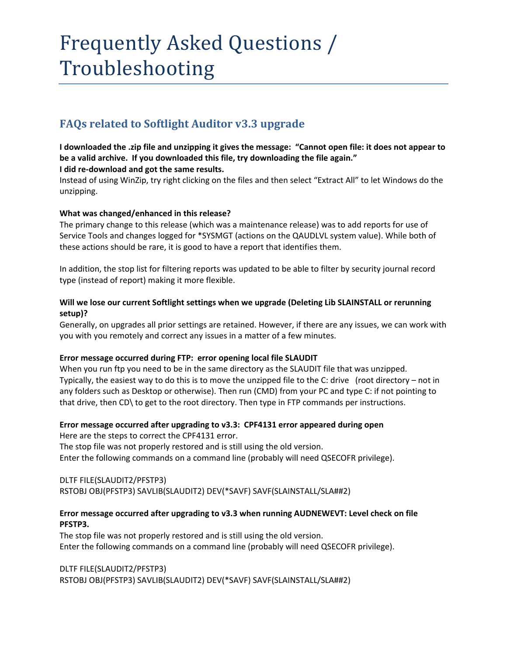# Frequently Asked Questions / Troubleshooting

# **FAQs related to Softlight Auditor v3.3 upgrade**

#### I downloaded the .zip file and unzipping it gives the message: "Cannot open file: it does not appear to **be a valid archive. If you downloaded this file, try downloading the file again." I did re‐download and got the same results.**

Instead of using WinZip, try right clicking on the files and then select "Extract All" to let Windows do the unzipping.

# **What was changed/enhanced in this release?**

The primary change to this release (which was a maintenance release) was to add reports for use of Service Tools and changes logged for \*SYSMGT (actions on the QAUDLVL system value). While both of these actions should be rare, it is good to have a report that identifies them.

In addition, the stop list for filtering reports was updated to be able to filter by security journal record type (instead of report) making it more flexible.

## **Will we lose our current Softlight settings when we upgrade (Deleting Lib SLAINSTALL or rerunning setup)?**

Generally, on upgrades all prior settings are retained. However, if there are any issues, we can work with you with you remotely and correct any issues in a matter of a few minutes.

#### **Error message occurred during FTP: error opening local file SLAUDIT**

When you run ftp you need to be in the same directory as the SLAUDIT file that was unzipped. Typically, the easiest way to do this is to move the unzipped file to the C: drive (root directory – not in any folders such as Desktop or otherwise). Then run (CMD) from your PC and type C: if not pointing to that drive, then CD\ to get to the root directory. Then type in FTP commands per instructions.

#### **Error message occurred after upgrading to v3.3: CPF4131 error appeared during open**

Here are the steps to correct the CPF4131 error. The stop file was not properly restored and is still using the old version. Enter the following commands on a command line (probably will need QSECOFR privilege).

# DLTF FILE(SLAUDIT2/PFSTP3)

RSTOBJ OBJ(PFSTP3) SAVLIB(SLAUDIT2) DEV(\*SAVF) SAVF(SLAINSTALL/SLA##2)

## **Error message occurred after upgrading to v3.3 when running AUDNEWEVT: Level check on file PFSTP3.**

The stop file was not properly restored and is still using the old version. Enter the following commands on a command line (probably will need QSECOFR privilege).

DLTF FILE(SLAUDIT2/PFSTP3) RSTOBJ OBJ(PFSTP3) SAVLIB(SLAUDIT2) DEV(\*SAVF) SAVF(SLAINSTALL/SLA##2)